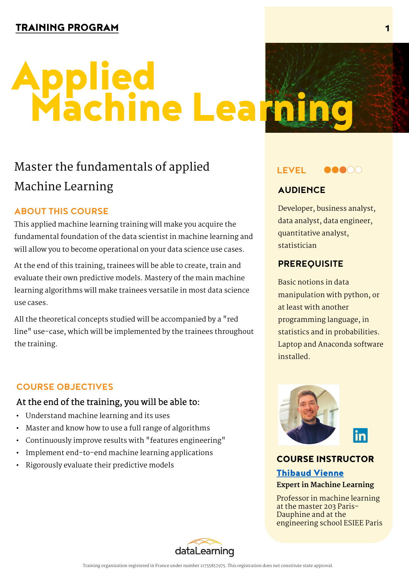# Machine Learning Applied

### **Master the fundamentals of applied Machine Learning**

#### **ABOUT THIS COURSE**

This applied machine learning training will make you acquire the fundamental foundation of the data scientist in machine learning and will allow you to become operational on your data science use cases.

At the end of this training, trainees will be able to create, train and evaluate their own predictive models. Mastery of the main machine learning algorithms will make trainees versatile in most data science use cases.

All the theoretical concepts studied will be accompanied by a "red line" use-case, which will be implemented by the trainees throughout the training.

#### **COURSE OBJECTIVES**

#### At the end of the training, you will be able to:

- Understand machine learning and its uses
- Master and know how to use a full range of algorithms
- Continuously improve results with "features engineering"
- Implement end-to-end machine learning applications
- Rigorously evaluate their predictive models



#### **AUDIENCE**

Developer, business analyst, data analyst, data engineer, quantitative analyst, statistician

#### **PREREQUISITE**

Basic notions in data manipulation with python, or at least with another programming language, in statistics and in probabilities. Laptop and Anaconda software installed.



#### COURSE INSTRUCTOR

#### Thibaud Vienne

#### **Expert in Machine Learning**

Professor in machine learning [at the master 203 Pa](https://www.linkedin.com/in/thibaud-vienne/)ris-Dauphine and at the engineering school ESIEE Paris

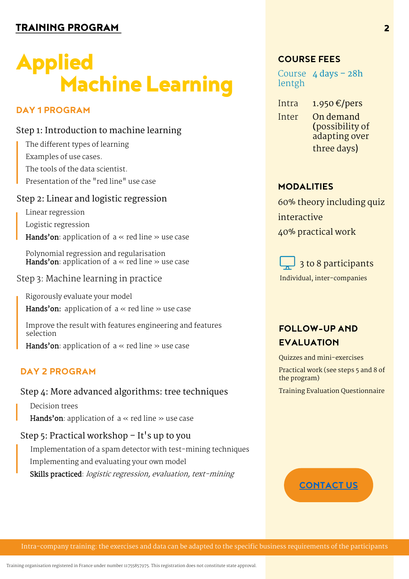## Machine Learning Applied

#### **DAY 1 PROGRAM**

#### **Step 1: Introduction to machine learning**

- The different types of learning Examples of use cases.
- The tools of the data scientist.
- Presentation of the "red line" use case

#### **Step 2: Linear and logistic regression**

- Linear regression
- Logistic regression
- Hands'on: application of a « red line » use case
- Polynomial regression and regularisation **Hands'on**: application of  $a \ll$  red line  $\gg$  use case
- Step 3: Machine learning in practice
	- Rigorously evaluate your model
	- Hands'on: application of  $a \ll$  red line  $\gg$  use case
	- Improve the result with features engineering and features selection
	- **Hands'on**: application of  $a \ll$  red line  $\gg$  use case

#### **DAY 2 PROGRAM**

#### **Step 4: More advanced algorithms: tree techniques**

Decision trees

Hands'on: application of  $a \ll$  red line  $\gg$  use case

#### **Step 5: Practical workshop – It's up to you**

Implementation of a spam detector with test-mining techniques Implementing and evaluating your own model Skills practiced: logistic regression, evaluation, text-mining

#### **COURSE FEES**

Course **4 days – 28h** lentgh

- Intra **1.950 €/pers** Inter **On demand**
	- **(**possibility of adapting over three days)

#### **MODALITIES**

60% theory including quiz interactive 40% practical work



#### **FOLLOW-UP AND EVALUATION**

Quizzes and mini-exercises

Practical work (see steps 5 and 8 of the program)

Training Evaluation Questionnaire

#### **CONTACT US**

Intra-company training: the exercises and data can be adapted to the specific business requirements of the participants